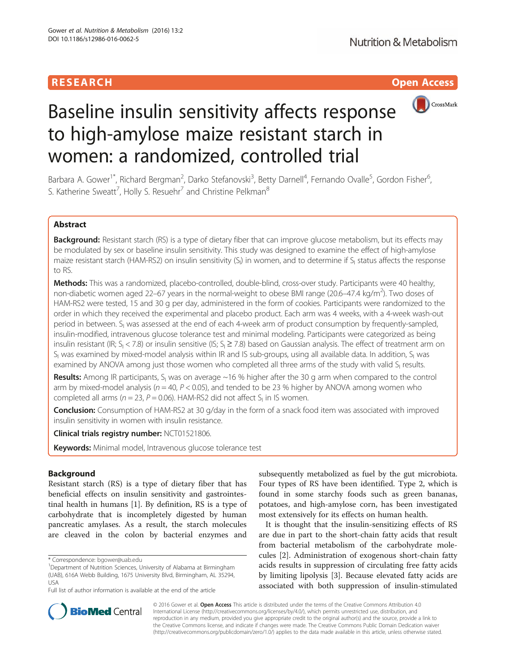# **RESEARCH CHILD CONTROL** CONTROL CONTROL CONTROL CONTROL CONTROL CONTROL CONTROL CONTROL CONTROL CONTROL CONTROL



# Baseline insulin sensitivity affects response to high-amylose maize resistant starch in women: a randomized, controlled trial

Barbara A. Gower<sup>1\*</sup>, Richard Bergman<sup>2</sup>, Darko Stefanovski<sup>3</sup>, Betty Darnell<sup>4</sup>, Fernando Ovalle<sup>5</sup>, Gordon Fisher<sup>6</sup> י<br>, S. Katherine Sweatt<sup>7</sup>, Holly S. Resuehr<sup>7</sup> and Christine Pelkman<sup>8</sup>

## Abstract

Background: Resistant starch (RS) is a type of dietary fiber that can improve glucose metabolism, but its effects may be modulated by sex or baseline insulin sensitivity. This study was designed to examine the effect of high-amylose maize resistant starch (HAM-RS2) on insulin sensitivity (S<sub>I</sub>) in women, and to determine if S<sub>I</sub> status affects the response to RS.

Methods: This was a randomized, placebo-controlled, double-blind, cross-over study. Participants were 40 healthy, non-diabetic women aged 22–67 years in the normal-weight to obese BMI range (20.6–47.4 kg/m<sup>2</sup>). Two doses of HAM-RS2 were tested, 15 and 30 g per day, administered in the form of cookies. Participants were randomized to the order in which they received the experimental and placebo product. Each arm was 4 weeks, with a 4-week wash-out period in between. S<sub>I</sub> was assessed at the end of each 4-week arm of product consumption by frequently-sampled, insulin-modified, intravenous glucose tolerance test and minimal modeling. Participants were categorized as being insulin resistant (IR; S<sub>I</sub> < 7.8) or insulin sensitive (IS; S<sub>I</sub> ≥ 7.8) based on Gaussian analysis. The effect of treatment arm on  $S_1$  was examined by mixed-model analysis within IR and IS sub-groups, using all available data. In addition,  $S_1$  was examined by ANOVA among just those women who completed all three arms of the study with valid S<sub>I</sub> results.

**Results:** Among IR participants,  $S<sub>1</sub>$  was on average  $\sim$  16 % higher after the 30 g arm when compared to the control arm by mixed-model analysis ( $n = 40$ ,  $P < 0.05$ ), and tended to be 23 % higher by ANOVA among women who completed all arms ( $n = 23$ ,  $P = 0.06$ ). HAM-RS2 did not affect S<sub>I</sub> in IS women.

**Conclusion:** Consumption of HAM-RS2 at 30 g/day in the form of a snack food item was associated with improved insulin sensitivity in women with insulin resistance.

Clinical trials registry number: [NCT01521806](https://clinicaltrials.gov/show/NCT01521806).

Keywords: Minimal model, Intravenous glucose tolerance test

## Background

Resistant starch (RS) is a type of dietary fiber that has beneficial effects on insulin sensitivity and gastrointestinal health in humans [\[1](#page-6-0)]. By definition, RS is a type of carbohydrate that is incompletely digested by human pancreatic amylases. As a result, the starch molecules are cleaved in the colon by bacterial enzymes and

subsequently metabolized as fuel by the gut microbiota. Four types of RS have been identified. Type 2, which is found in some starchy foods such as green bananas, potatoes, and high-amylose corn, has been investigated most extensively for its effects on human health.

It is thought that the insulin-sensitizing effects of RS are due in part to the short-chain fatty acids that result from bacterial metabolism of the carbohydrate molecules [\[2\]](#page-6-0). Administration of exogenous short-chain fatty acids results in suppression of circulating free fatty acids by limiting lipolysis [[3\]](#page-6-0). Because elevated fatty acids are associated with both suppression of insulin-stimulated



© 2016 Gower et al. Open Access This article is distributed under the terms of the Creative Commons Attribution 4.0 International License [\(http://creativecommons.org/licenses/by/4.0/](http://creativecommons.org/licenses/by/4.0/)), which permits unrestricted use, distribution, and reproduction in any medium, provided you give appropriate credit to the original author(s) and the source, provide a link to the Creative Commons license, and indicate if changes were made. The Creative Commons Public Domain Dedication waiver [\(http://creativecommons.org/publicdomain/zero/1.0/](http://creativecommons.org/publicdomain/zero/1.0/)) applies to the data made available in this article, unless otherwise stated.

<sup>\*</sup> Correspondence: [bgower@uab.edu](mailto:bgower@uab.edu) <sup>1</sup>

<sup>&</sup>lt;sup>1</sup>Department of Nutrition Sciences, University of Alabama at Birmingham (UAB), 616A Webb Building, 1675 University Blvd, Birmingham, AL 35294, USA

Full list of author information is available at the end of the article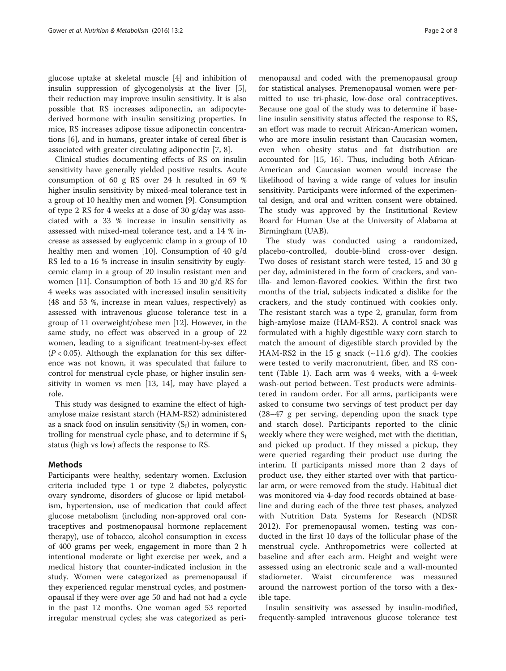glucose uptake at skeletal muscle [\[4](#page-6-0)] and inhibition of insulin suppression of glycogenolysis at the liver [\[5](#page-6-0)], their reduction may improve insulin sensitivity. It is also possible that RS increases adiponectin, an adipocytederived hormone with insulin sensitizing properties. In mice, RS increases adipose tissue adiponectin concentrations [\[6](#page-6-0)], and in humans, greater intake of cereal fiber is associated with greater circulating adiponectin [\[7](#page-6-0), [8](#page-6-0)].

Clinical studies documenting effects of RS on insulin sensitivity have generally yielded positive results. Acute consumption of 60 g RS over 24 h resulted in 69 % higher insulin sensitivity by mixed-meal tolerance test in a group of 10 healthy men and women [[9](#page-6-0)]. Consumption of type 2 RS for 4 weeks at a dose of 30 g/day was associated with a 33 % increase in insulin sensitivity as assessed with mixed-meal tolerance test, and a 14 % increase as assessed by euglycemic clamp in a group of 10 healthy men and women [\[10](#page-6-0)]. Consumption of 40 g/d RS led to a 16 % increase in insulin sensitivity by euglycemic clamp in a group of 20 insulin resistant men and women [[11\]](#page-6-0). Consumption of both 15 and 30 g/d RS for 4 weeks was associated with increased insulin sensitivity (48 and 53 %, increase in mean values, respectively) as assessed with intravenous glucose tolerance test in a group of 11 overweight/obese men [[12\]](#page-6-0). However, in the same study, no effect was observed in a group of 22 women, leading to a significant treatment-by-sex effect  $(P < 0.05)$ . Although the explanation for this sex difference was not known, it was speculated that failure to control for menstrual cycle phase, or higher insulin sensitivity in women vs men [\[13, 14\]](#page-6-0), may have played a role.

This study was designed to examine the effect of highamylose maize resistant starch (HAM-RS2) administered as a snack food on insulin sensitivity  $(S_I)$  in women, controlling for menstrual cycle phase, and to determine if  $S_I$ status (high vs low) affects the response to RS.

#### Methods

Participants were healthy, sedentary women. Exclusion criteria included type 1 or type 2 diabetes, polycystic ovary syndrome, disorders of glucose or lipid metabolism, hypertension, use of medication that could affect glucose metabolism (including non-approved oral contraceptives and postmenopausal hormone replacement therapy), use of tobacco, alcohol consumption in excess of 400 grams per week, engagement in more than 2 h intentional moderate or light exercise per week, and a medical history that counter-indicated inclusion in the study. Women were categorized as premenopausal if they experienced regular menstrual cycles, and postmenopausal if they were over age 50 and had not had a cycle in the past 12 months. One woman aged 53 reported irregular menstrual cycles; she was categorized as peri-

menopausal and coded with the premenopausal group for statistical analyses. Premenopausal women were permitted to use tri-phasic, low-dose oral contraceptives. Because one goal of the study was to determine if baseline insulin sensitivity status affected the response to RS, an effort was made to recruit African-American women, who are more insulin resistant than Caucasian women, even when obesity status and fat distribution are accounted for [[15, 16\]](#page-6-0). Thus, including both African-American and Caucasian women would increase the likelihood of having a wide range of values for insulin sensitivity. Participants were informed of the experimental design, and oral and written consent were obtained. The study was approved by the Institutional Review Board for Human Use at the University of Alabama at Birmingham (UAB).

The study was conducted using a randomized, placebo-controlled, double-blind cross-over design. Two doses of resistant starch were tested, 15 and 30 g per day, administered in the form of crackers, and vanilla- and lemon-flavored cookies. Within the first two months of the trial, subjects indicated a dislike for the crackers, and the study continued with cookies only. The resistant starch was a type 2, granular, form from high-amylose maize (HAM-RS2). A control snack was formulated with a highly digestible waxy corn starch to match the amount of digestible starch provided by the HAM-RS2 in the 15 g snack  $(\sim 11.6 \text{ g/d})$ . The cookies were tested to verify macronutrient, fiber, and RS content (Table [1\)](#page-2-0). Each arm was 4 weeks, with a 4-week wash-out period between. Test products were administered in random order. For all arms, participants were asked to consume two servings of test product per day (28–47 g per serving, depending upon the snack type and starch dose). Participants reported to the clinic weekly where they were weighed, met with the dietitian, and picked up product. If they missed a pickup, they were queried regarding their product use during the interim. If participants missed more than 2 days of product use, they either started over with that particular arm, or were removed from the study. Habitual diet was monitored via 4-day food records obtained at baseline and during each of the three test phases, analyzed with Nutrition Data Systems for Research (NDSR 2012). For premenopausal women, testing was conducted in the first 10 days of the follicular phase of the menstrual cycle. Anthropometrics were collected at baseline and after each arm. Height and weight were assessed using an electronic scale and a wall-mounted stadiometer. Waist circumference was measured around the narrowest portion of the torso with a flexible tape.

Insulin sensitivity was assessed by insulin-modified, frequently-sampled intravenous glucose tolerance test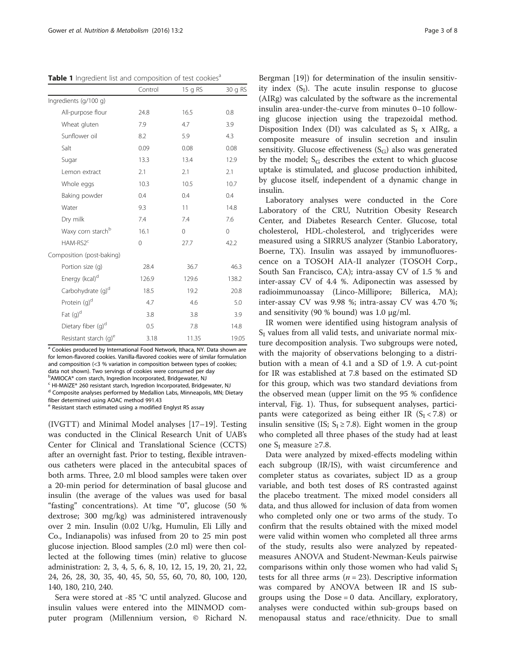<span id="page-2-0"></span>Table 1 Ingredient list and composition of test cookies<sup>a</sup>

|                                   | Control  | 15 g RS | 30 g RS |
|-----------------------------------|----------|---------|---------|
| Ingredients (g/100 g)             |          |         |         |
| All-purpose flour                 | 24.8     | 16.5    | 0.8     |
| Wheat gluten                      | 7.9      | 4.7     | 3.9     |
| Sunflower oil                     | 8.2      | 5.9     | 4.3     |
| Salt                              | 0.09     | 0.08    | 0.08    |
| Sugar                             | 13.3     | 13.4    | 12.9    |
| Lemon extract                     | 2.1      | 2.1     | 2.1     |
| Whole eggs                        | 10.3     | 10.5    | 10.7    |
| Baking powder                     | 0.4      | 0.4     | 0.4     |
| Water                             | 9.3      | 11      | 14.8    |
| Dry milk                          | 7.4      | 7.4     | 7.6     |
| Waxy corn starch <sup>b</sup>     | 16.1     | 0       | 0       |
| HAM-RS2 <sup>c</sup>              | $\Omega$ | 27.7    | 42.2    |
| Composition (post-baking)         |          |         |         |
| Portion size (q)                  | 28.4     | 36.7    | 46.3    |
| Energy (kcal) <sup>d</sup>        | 126.9    | 129.6   | 138.2   |
| Carbohydrate (g) <sup>d</sup>     | 18.5     | 19.2    | 20.8    |
| Protein (g) <sup>d</sup>          | 4.7      | 4.6     | 5.0     |
| Fat $(q)^d$                       | 3.8      | 3.8     | 3.9     |
| Dietary fiber (g) <sup>d</sup>    | 0.5      | 7.8     | 14.8    |
| Resistant starch (g) <sup>e</sup> | 3.18     | 11.35   | 19.05   |

<sup>a</sup> Cookies produced by International Food Network, Ithaca, NY. Data shown are for lemon-flavored cookies. Vanilla-flavored cookies were of similar formulation and composition (<3 % variation in composition between types of cookies; data not shown). Two servings of cookies were consumed per day

**bAMIOCA®** corn starch, Ingredion Incorporated, Bridgewater, NJ

<sup>c</sup> HI-MAIZE® 260 resistant starch, Ingredion Incorporated, Bridgewater, NJ

<sup>d</sup> Composite analyses performed by Medallion Labs, Minneapolis, MN; Dietary fiber determined using AOAC method 991.43

<sup>e</sup> Resistant starch estimated using a modified Englyst RS assay

(IVGTT) and Minimal Model analyses [\[17](#page-6-0)–[19\]](#page-6-0). Testing was conducted in the Clinical Research Unit of UAB's Center for Clinical and Translational Science (CCTS) after an overnight fast. Prior to testing, flexible intravenous catheters were placed in the antecubital spaces of both arms. Three, 2.0 ml blood samples were taken over a 20-min period for determination of basal glucose and insulin (the average of the values was used for basal "fasting" concentrations). At time "0", glucose (50 % dextrose; 300 mg/kg) was administered intravenously over 2 min. Insulin (0.02 U/kg, Humulin, Eli Lilly and Co., Indianapolis) was infused from 20 to 25 min post glucose injection. Blood samples (2.0 ml) were then collected at the following times (min) relative to glucose administration: 2, 3, 4, 5, 6, 8, 10, 12, 15, 19, 20, 21, 22, 24, 26, 28, 30, 35, 40, 45, 50, 55, 60, 70, 80, 100, 120, 140, 180, 210, 240.

Sera were stored at -85 °C until analyzed. Glucose and insulin values were entered into the MINMOD computer program (Millennium version, © Richard N.

Bergman [\[19](#page-6-0)]) for determination of the insulin sensitivity index  $(S<sub>I</sub>)$ . The acute insulin response to glucose (AIRg) was calculated by the software as the incremental insulin area-under-the-curve from minutes 0–10 following glucose injection using the trapezoidal method. Disposition Index (DI) was calculated as  $S_I$  x AIRg, a composite measure of insulin secretion and insulin sensitivity. Glucose effectiveness  $(S_G)$  also was generated by the model;  $S_G$  describes the extent to which glucose uptake is stimulated, and glucose production inhibited, by glucose itself, independent of a dynamic change in insulin.

Laboratory analyses were conducted in the Core Laboratory of the CRU, Nutrition Obesity Research Center, and Diabetes Research Center. Glucose, total cholesterol, HDL-cholesterol, and triglycerides were measured using a SIRRUS analyzer (Stanbio Laboratory, Boerne, TX). Insulin was assayed by immunofluorescence on a TOSOH AIA-II analyzer (TOSOH Corp., South San Francisco, CA); intra-assay CV of 1.5 % and inter-assay CV of 4.4 %. Adiponectin was assessed by radioimmunoassay (Linco-Millipore; Billerica, MA); inter-assay CV was 9.98 %; intra-assay CV was 4.70 %; and sensitivity (90 % bound) was 1.0 μg/ml.

IR women were identified using histogram analysis of  $S_I$  values from all valid tests, and univariate normal mixture decomposition analysis. Two subgroups were noted, with the majority of observations belonging to a distribution with a mean of 4.1 and a SD of 1.9. A cut-point for IR was established at 7.8 based on the estimated SD for this group, which was two standard deviations from the observed mean (upper limit on the 95 % confidence interval, Fig. [1\)](#page-3-0). Thus, for subsequent analyses, participants were categorized as being either IR  $(S<sub>I</sub> < 7.8)$  or insulin sensitive (IS;  $S_I \ge 7.8$ ). Eight women in the group who completed all three phases of the study had at least one S<sub>I</sub> measure ≥7.8.

Data were analyzed by mixed-effects modeling within each subgroup (IR/IS), with waist circumference and completer status as covariates, subject ID as a group variable, and both test doses of RS contrasted against the placebo treatment. The mixed model considers all data, and thus allowed for inclusion of data from women who completed only one or two arms of the study. To confirm that the results obtained with the mixed model were valid within women who completed all three arms of the study, results also were analyzed by repeatedmeasures ANOVA and Student-Newman-Keuls pairwise comparisons within only those women who had valid  $S_I$ tests for all three arms ( $n = 23$ ). Descriptive information was compared by ANOVA between IR and IS subgroups using the Dose = 0 data. Ancillary, exploratory, analyses were conducted within sub-groups based on menopausal status and race/ethnicity. Due to small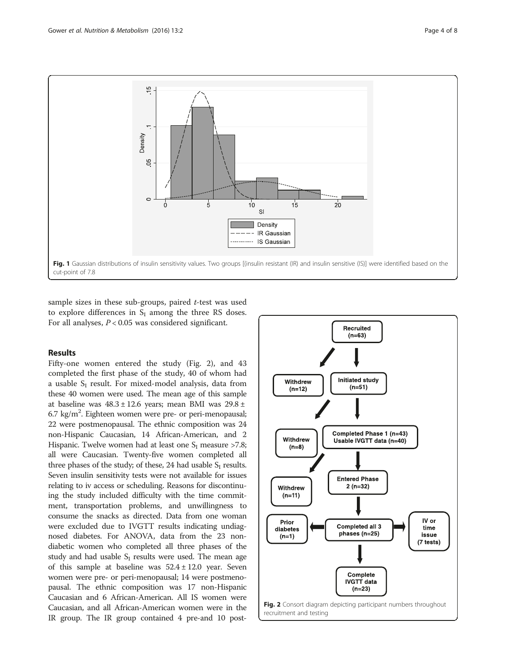<span id="page-3-0"></span>

sample sizes in these sub-groups, paired  $t$ -test was used to explore differences in  $S_I$  among the three RS doses. For all analyses,  $P < 0.05$  was considered significant.

### Results

Fifty-one women entered the study (Fig. 2), and 43 completed the first phase of the study, 40 of whom had a usable  $S_I$  result. For mixed-model analysis, data from these 40 women were used. The mean age of this sample at baseline was  $48.3 \pm 12.6$  years; mean BMI was  $29.8 \pm$ 6.7 kg/m<sup>2</sup>. Eighteen women were pre- or peri-menopausal; 22 were postmenopausal. The ethnic composition was 24 non-Hispanic Caucasian, 14 African-American, and 2 Hispanic. Twelve women had at least one  $S_I$  measure >7.8; all were Caucasian. Twenty-five women completed all three phases of the study; of these, 24 had usable  $S_I$  results. Seven insulin sensitivity tests were not available for issues relating to iv access or scheduling. Reasons for discontinuing the study included difficulty with the time commitment, transportation problems, and unwillingness to consume the snacks as directed. Data from one woman were excluded due to IVGTT results indicating undiagnosed diabetes. For ANOVA, data from the 23 nondiabetic women who completed all three phases of the study and had usable  $S_I$  results were used. The mean age of this sample at baseline was  $52.4 \pm 12.0$  year. Seven women were pre- or peri-menopausal; 14 were postmenopausal. The ethnic composition was 17 non-Hispanic Caucasian and 6 African-American. All IS women were Caucasian, and all African-American women were in the IR group. The IR group contained 4 pre-and 10 post-

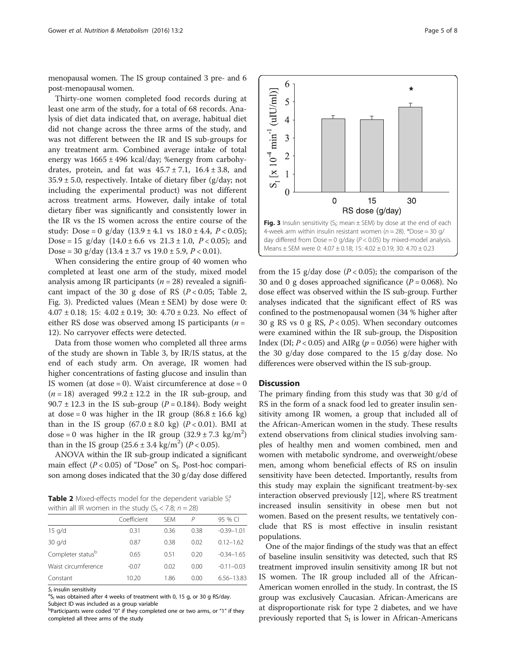menopausal women. The IS group contained 3 pre- and 6 post-menopausal women.

Thirty-one women completed food records during at least one arm of the study, for a total of 68 records. Analysis of diet data indicated that, on average, habitual diet did not change across the three arms of the study, and was not different between the IR and IS sub-groups for any treatment arm. Combined average intake of total energy was  $1665 \pm 496$  kcal/day; %energy from carbohydrates, protein, and fat was  $45.7 \pm 7.1$ ,  $16.4 \pm 3.8$ , and  $35.9 \pm 5.0$ , respectively. Intake of dietary fiber (g/day; not including the experimental product) was not different across treatment arms. However, daily intake of total dietary fiber was significantly and consistently lower in the IR vs the IS women across the entire course of the study: Dose = 0 g/day  $(13.9 \pm 4.1 \text{ vs } 18.0 \pm 4.4, P < 0.05);$ Dose = 15 g/day  $(14.0 \pm 6.6 \text{ vs } 21.3 \pm 1.0, P < 0.05)$ ; and Dose = 30 g/day  $(13.4 \pm 3.7 \text{ vs } 19.0 \pm 5.9, P < 0.01)$ .

When considering the entire group of 40 women who completed at least one arm of the study, mixed model analysis among IR participants ( $n = 28$ ) revealed a significant impact of the 30 g dose of RS  $(P < 0.05$ ; Table 2, Fig. 3). Predicted values (Mean ± SEM) by dose were 0: 4.07 ± 0.18; 15: 4.02 ± 0.19; 30: 4.70 ± 0.23. No effect of either RS dose was observed among IS participants ( $n =$ 12). No carryover effects were detected.

Data from those women who completed all three arms of the study are shown in Table [3](#page-5-0), by IR/IS status, at the end of each study arm. On average, IR women had higher concentrations of fasting glucose and insulin than IS women (at  $dose = 0$ ). Waist circumference at  $dose = 0$  $(n = 18)$  averaged  $99.2 \pm 12.2$  in the IR sub-group, and  $90.7 \pm 12.3$  in the IS sub-group ( $P = 0.184$ ). Body weight at dose = 0 was higher in the IR group  $(86.8 \pm 16.6 \text{ kg})$ than in the IS group  $(67.0 \pm 8.0 \text{ kg})$   $(P < 0.01)$ . BMI at dose = 0 was higher in the IR group  $(32.9 \pm 7.3 \text{ kg/m}^2)$ than in the IS group  $(25.6 \pm 3.4 \text{ kg/m}^2)$   $(P < 0.05)$ .

ANOVA within the IR sub-group indicated a significant main effect ( $P < 0.05$ ) of "Dose" on S<sub>I</sub>. Post-hoc comparison among doses indicated that the 30 g/day dose differed

Table 2 Mixed-effects model for the dependent variable S<sub>I</sub> within all IR women in the study  $(S_i < 7.8; n = 28)$ 

| $\frac{1}{2}$ of the distribution in the study $\frac{1}{2}$ $\frac{1}{2}$ $\frac{1}{2}$ $\frac{1}{2}$ $\frac{1}{2}$ $\frac{1}{2}$ $\frac{1}{2}$ |             |            |      |                |  |  |  |  |
|--------------------------------------------------------------------------------------------------------------------------------------------------|-------------|------------|------|----------------|--|--|--|--|
|                                                                                                                                                  | Coefficient | <b>SFM</b> | Р    | 95 % CI        |  |  |  |  |
| 15 q/d                                                                                                                                           | 0.31        | 0.36       | 0.38 | $-0.39 - 1.01$ |  |  |  |  |
| 30 g/d                                                                                                                                           | 0.87        | 0.38       | 0.02 | $0.12 - 1.62$  |  |  |  |  |
| Completer status <sup>b</sup>                                                                                                                    | 0.65        | 0.51       | 0.20 | $-0.34 - 1.65$ |  |  |  |  |
| Waist circumference                                                                                                                              | $-0.07$     | 0.02       | 0.00 | $-0.11 - 0.03$ |  |  |  |  |
| Constant                                                                                                                                         | 10.20       | 1.86       | 0.00 | $6.56 - 13.83$ |  |  |  |  |

 $S<sub>l</sub>$  insulin sensitivity

 ${}^{a}S_{1}$  was obtained after 4 weeks of treatment with 0, 15 g, or 30 g RS/day.

Subject ID was included as a group variable <sup>b</sup>Participants were coded "0" if they completed one or two arms, or "1" if they completed all three arms of the study

from the 15 g/day dose  $(P < 0.05)$ ; the comparison of the 30 and 0 g doses approached significance ( $P = 0.068$ ). No dose effect was observed within the IS sub-group. Further analyses indicated that the significant effect of RS was confined to the postmenopausal women (34 % higher after 30 g RS vs 0 g RS,  $P < 0.05$ ). When secondary outcomes were examined within the IR sub-group, the Disposition Index (DI;  $P < 0.05$ ) and AIRg ( $p = 0.056$ ) were higher with the 30 g/day dose compared to the 15 g/day dose. No differences were observed within the IS sub-group.

## **Discussion**

The primary finding from this study was that 30 g/d of RS in the form of a snack food led to greater insulin sensitivity among IR women, a group that included all of the African-American women in the study. These results extend observations from clinical studies involving samples of healthy men and women combined, men and women with metabolic syndrome, and overweight/obese men, among whom beneficial effects of RS on insulin sensitivity have been detected. Importantly, results from this study may explain the significant treatment-by-sex interaction observed previously [[12\]](#page-6-0), where RS treatment increased insulin sensitivity in obese men but not women. Based on the present results, we tentatively conclude that RS is most effective in insulin resistant populations.

One of the major findings of the study was that an effect of baseline insulin sensitivity was detected, such that RS treatment improved insulin sensitivity among IR but not IS women. The IR group included all of the African-American women enrolled in the study. In contrast, the IS group was exclusively Caucasian. African-Americans are at disproportionate risk for type 2 diabetes, and we have previously reported that  $S_I$  is lower in African-Americans

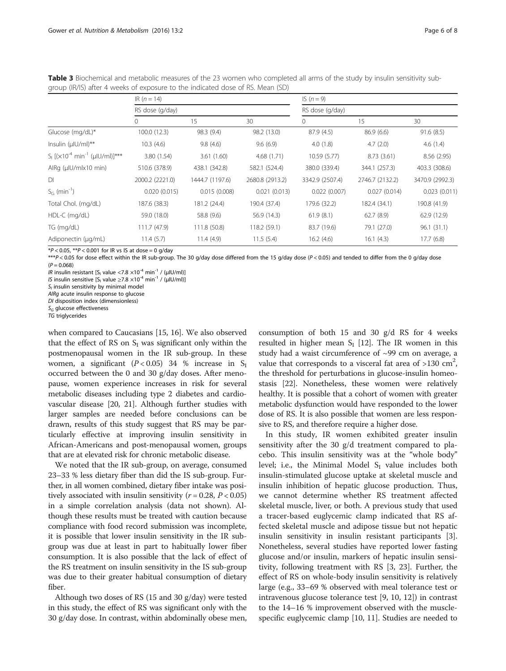| Group (invitation + Weeks of exposure to the indicated dose of no. Micari (SD) | $IR(n = 14)$    |                 |                 | IS $(n = 9)$    |                 |                 |  |
|--------------------------------------------------------------------------------|-----------------|-----------------|-----------------|-----------------|-----------------|-----------------|--|
|                                                                                | RS dose (g/day) |                 |                 | RS dose (g/day) |                 |                 |  |
|                                                                                | 0               | 15              | 30              | 0               | 15              | 30              |  |
| Glucose (mg/dL)*                                                               | 100.0 (12.3)    | 98.3 (9.4)      | 98.2 (13.0)     | 87.9(4.5)       | 86.9(6.6)       | 91.6(8.5)       |  |
| Insulin (µlU/ml)**                                                             | 10.3(4.6)       | 9.8(4.6)        | 9.6(6.9)        | 4.0(1.8)        | 4.7(2.0)        | 4.6(1.4)        |  |
| S <sub>I</sub> [( $\times$ 10 <sup>-4</sup> min <sup>-1</sup> (µlU/ml)]***     | 3.80 (1.54)     | 3.61(1.60)      | 4.68(1.71)      | 10.59 (5.77)    | 8.73(3.61)      | 8.56(2.95)      |  |
| AIRg (µIU/mlx10 min)                                                           | 510.6 (378.9)   | 438.1 (342.8)   | 582.1 (524.4)   | 380.0 (339.4)   | 344.1 (257.3)   | 403.3 (308.6)   |  |
| DI                                                                             | 2000.2 (2221.0) | 1444.7 (1197.6) | 2680.8 (2913.2) | 3342.9 (2507.4) | 2746.7 (2132.2) | 3470.9 (2992.3) |  |
| S <sub>G</sub> (min $^{-1}$ )                                                  | 0.020(0.015)    | 0.015(0.008)    | 0.021(0.013)    | 0.022(0.007)    | 0.027(0.014)    | 0.023(0.011)    |  |
| Total Chol. (mg/dL)                                                            | 187.6 (38.3)    | 181.2 (24.4)    | 190.4 (37.4)    | 179.6 (32.2)    | 182.4 (34.1)    | 190.8 (41.9)    |  |
| HDL-C (mg/dL)                                                                  | 59.0 (18.0)     | 58.8 (9.6)      | 56.9 (14.3)     | 61.9(8.1)       | 62.7(8.9)       | 62.9 (12.9)     |  |
| TG (mg/dL)                                                                     | 111.7 (47.9)    | 111.8 (50.8)    | 118.2 (59.1)    | 83.7 (19.6)     | 79.1 (27.0)     | 96.1(31.1)      |  |
| Adiponectin (µg/mL)                                                            | 11.4(5.7)       | 11.4(4.9)       | 11.5(5.4)       | 16.2(4.6)       | 16.1(4.3)       | 17.7(6.8)       |  |
|                                                                                |                 |                 |                 |                 |                 |                 |  |

<span id="page-5-0"></span>Table 3 Biochemical and metabolic measures of the 23 women who completed all arms of the study by insulin sensitivity subgroup (IR/IS) after 4 weeks of exposure to the indicated dose of RS. Mean (SD)

 $*P < 0.05$ ,  $**P < 0.001$  for IR vs IS at dose = 0 g/day

\*\*\*P < 0.05 for dose effect within the IR sub-group. The 30 g/day dose differed from the 15 g/day dose (P < 0.05) and tended to differ from the 0 g/day dose (P = 0.068)

(P = 0.068)<br>*IR* insulin resistant [S<sub>I</sub> value <7.8 ×10<sup>-4</sup> min<sup>-1</sup> / (µIU/ml)]<br>/S insulin sensitive [S. value >7.8 ×10<sup>-4</sup> min<sup>-1</sup> / (uILI/ml)]

IS insulin sensitive  $[S_1 \text{ value } \ge 7.8 \times 10^{-4} \text{ min}^{-1} / (\mu|U/ml)]$ 

 $S<sub>i</sub>$  insulin sensitivity by minimal model AIRg acute insulin response to glucose

DI disposition index (dimensionless)

 $S_G$  glucose effectiveness

TG triglycerides

when compared to Caucasians [\[15, 16\]](#page-6-0). We also observed that the effect of RS on  $S<sub>I</sub>$  was significant only within the postmenopausal women in the IR sub-group. In these women, a significant  $(P < 0.05)$  34 % increase in S<sub>I</sub> occurred between the 0 and 30 g/day doses. After menopause, women experience increases in risk for several metabolic diseases including type 2 diabetes and cardiovascular disease [[20](#page-6-0), [21\]](#page-6-0). Although further studies with larger samples are needed before conclusions can be drawn, results of this study suggest that RS may be particularly effective at improving insulin sensitivity in African-Americans and post-menopausal women, groups that are at elevated risk for chronic metabolic disease.

We noted that the IR sub-group, on average, consumed 23–33 % less dietary fiber than did the IS sub-group. Further, in all women combined, dietary fiber intake was positively associated with insulin sensitivity ( $r = 0.28$ ,  $P < 0.05$ ) in a simple correlation analysis (data not shown). Although these results must be treated with caution because compliance with food record submission was incomplete, it is possible that lower insulin sensitivity in the IR subgroup was due at least in part to habitually lower fiber consumption. It is also possible that the lack of effect of the RS treatment on insulin sensitivity in the IS sub-group was due to their greater habitual consumption of dietary fiber.

Although two doses of RS (15 and 30 g/day) were tested in this study, the effect of RS was significant only with the 30 g/day dose. In contrast, within abdominally obese men, consumption of both 15 and 30  $g/d$  RS for 4 weeks resulted in higher mean  $S_I$  [[12](#page-6-0)]. The IR women in this study had a waist circumference of ~99 cm on average, a value that corresponds to a visceral fat area of >130  $\text{cm}^2$ , the threshold for perturbations in glucose-insulin homeostasis [\[22\]](#page--1-0). Nonetheless, these women were relatively healthy. It is possible that a cohort of women with greater metabolic dysfunction would have responded to the lower dose of RS. It is also possible that women are less responsive to RS, and therefore require a higher dose.

In this study, IR women exhibited greater insulin sensitivity after the 30 g/d treatment compared to placebo. This insulin sensitivity was at the "whole body" level; i.e., the Minimal Model  $S_I$  value includes both insulin-stimulated glucose uptake at skeletal muscle and insulin inhibition of hepatic glucose production. Thus, we cannot determine whether RS treatment affected skeletal muscle, liver, or both. A previous study that used a tracer-based euglycemic clamp indicated that RS affected skeletal muscle and adipose tissue but not hepatic insulin sensitivity in insulin resistant participants [\[3](#page-6-0)]. Nonetheless, several studies have reported lower fasting glucose and/or insulin, markers of hepatic insulin sensitivity, following treatment with RS [[3](#page-6-0), [23\]](#page--1-0). Further, the effect of RS on whole-body insulin sensitivity is relatively large (e.g., 33–69 % observed with meal tolerance test or intravenous glucose tolerance test [\[9, 10, 12\]](#page-6-0)) in contrast to the 14–16 % improvement observed with the musclespecific euglycemic clamp [\[10, 11\]](#page-6-0). Studies are needed to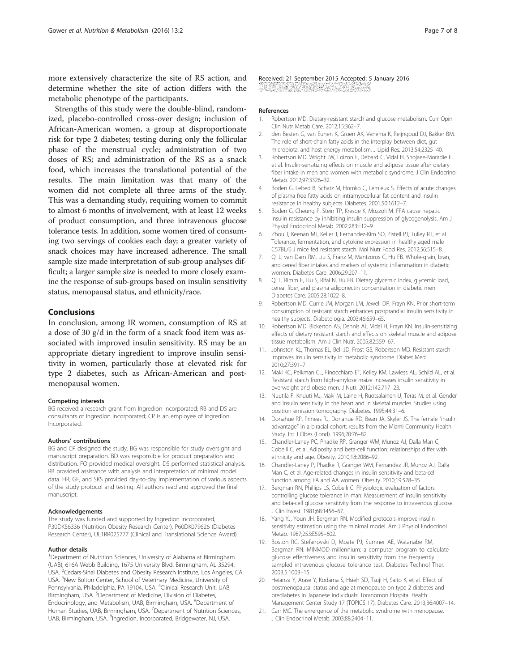<span id="page-6-0"></span>more extensively characterize the site of RS action, and determine whether the site of action differs with the metabolic phenotype of the participants.

Strengths of this study were the double-blind, randomized, placebo-controlled cross-over design; inclusion of African-American women, a group at disproportionate risk for type 2 diabetes; testing during only the follicular phase of the menstrual cycle; administration of two doses of RS; and administration of the RS as a snack food, which increases the translational potential of the results. The main limitation was that many of the women did not complete all three arms of the study. This was a demanding study, requiring women to commit to almost 6 months of involvement, with at least 12 weeks of product consumption, and three intravenous glucose tolerance tests. In addition, some women tired of consuming two servings of cookies each day; a greater variety of snack choices may have increased adherence. The small sample size made interpretation of sub-group analyses difficult; a larger sample size is needed to more closely examine the response of sub-groups based on insulin sensitivity status, menopausal status, and ethnicity/race.

#### Conclusions

In conclusion, among IR women, consumption of RS at a dose of 30 g/d in the form of a snack food item was associated with improved insulin sensitivity. RS may be an appropriate dietary ingredient to improve insulin sensitivity in women, particularly those at elevated risk for type 2 diabetes, such as African-American and postmenopausal women.

#### Competing interests

BG received a research grant from Ingredion Incorporated; RB and DS are consultants of Ingredion Incorporated; CP is an employee of Ingredion Incorporated.

#### Authors' contributions

BG and CP designed the study. BG was responsible for study oversight and manuscript preparation. BD was responsible for product preparation and distribution. FO provided medical oversight. DS performed statistical analysis. RB provided assistance with analysis and interpretation of minimal model data. HR, GF, and SKS provided day-to-day implementation of various aspects of the study protocol and testing. All authors read and approved the final manuscript.

#### Acknowledgements

The study was funded and supported by Ingredion Incorporated, P30DK56336 (Nutrition Obesity Research Center), P60DK079626 (Diabetes Research Center), UL1RR025777 (Clinical and Translational Science Award)

#### Author details

<sup>1</sup>Department of Nutrition Sciences, University of Alabama at Birmingham (UAB), 616A Webb Building, 1675 University Blvd, Birmingham, AL 35294, USA. <sup>2</sup>Cedars-Sinai Diabetes and Obesity Research Institute, Los Angeles, CA, USA. <sup>3</sup>New Bolton Center, School of Veterinary Medicine, University of Pennsylvania, Philadelphia, PA 19104, USA. <sup>4</sup>Clinical Research Unit, UAB, Birmingham, USA. <sup>5</sup>Department of Medicine, Division of Diabetes, Endocrinology, and Metabolism, UAB, Birmingham, USA. <sup>6</sup>Department of Human Studies, UAB, Birmingham, USA. <sup>7</sup>Department of Nutrition Sciences, UAB, Birmingham, USA. <sup>8</sup>Ingredion, Incorporated, Bridgewater, NJ, USA.

#### References

- 1. Robertson MD. Dietary-resistant starch and glucose metabolism. Curr Opin Clin Nutr Metab Care. 2012;15:362–7.
- 2. den Besten G, van Eunen K, Groen AK, Venema K, Reijngoud DJ, Bakker BM. The role of short-chain fatty acids in the interplay between diet, gut microbiota, and host energy metabolism. J Lipid Res. 2013;54:2325–40.
- 3. Robertson MD, Wright JW, Loizon E, Debard C, Vidal H, Shojaee-Moradie F, et al. Insulin-sensitizing effects on muscle and adipose tissue after dietary fiber intake in men and women with metabolic syndrome. J Clin Endocrinol Metab. 2012;97:3326–32.
- 4. Boden G, Lebed B, Schatz M, Homko C, Lemieux S. Effects of acute changes of plasma free fatty acids on intramyocellular fat content and insulin resistance in healthy subjects. Diabetes. 2001;50:1612–7.
- 5. Boden G, Cheung P, Stein TP, Kresge K, Mozzoli M. FFA cause hepatic insulin resistance by inhibiting insulin suppression of glycogenolysis. Am J Physiol Endocrinol Metab. 2002;283:E12–9.
- 6. Zhou J, Keenan MJ, Keller J, Fernandez-Kim SO, Pistell PJ, Tulley RT, et al. Tolerance, fermentation, and cytokine expression in healthy aged male C57BL/6 J mice fed resistant starch. Mol Nutr Food Res. 2012;56:515–8.
- 7. Qi L, van Dam RM, Liu S, Franz M, Mantzoros C, Hu FB. Whole-grain, bran, and cereal fiber intakes and markers of systemic inflammation in diabetic women. Diabetes Care. 2006;29:207–11.
- 8. Qi L, Rimm E, Liu S, Rifai N, Hu FB. Dietary glycemic index, glycemic load, cereal fiber, and plasma adiponectin concentration in diabetic men. Diabetes Care. 2005;28:1022–8.
- 9. Robertson MD, Currie JM, Morgan LM, Jewell DP, Frayn KN. Prior short-term consumption of resistant starch enhances postprandial insulin sensitivity in healthy subjects. Diabetologia. 2003;46:659–65.
- 10. Robertson MD, Bickerton AS, Dennis AL, Vidal H, Frayn KN. Insulin-sensitizing effects of dietary resistant starch and effects on skeletal muscle and adipose tissue metabolism. Am J Clin Nutr. 2005;82:559–67.
- 11. Johnston KL, Thomas EL, Bell JD, Frost GS, Robertson MD. Resistant starch improves insulin sensitivity in metabolic syndrome. Diabet Med. 2010;27:391–7.
- 12. Maki KC, Pelkman CL, Finocchiaro ET, Kelley KM, Lawless AL, Schild AL, et al. Resistant starch from high-amylose maize increases insulin sensitivity in overweight and obese men. J Nutr. 2012;142:717–23.
- 13. Nuutila P, Knuuti MJ, Maki M, Laine H, Ruotsalainen U, Teras M, et al. Gender and insulin sensitivity in the heart and in skeletal muscles. Studies using positron emission tomography. Diabetes. 1995;44:31–6.
- 14. Donahue RP, Prineas RJ, Donahue RD, Bean JA, Skyler JS. The female "insulin advantage" in a biracial cohort: results from the Miami Community Health Study. Int J Obes (Lond). 1996;20:76–82.
- 15. Chandler-Laney PC, Phadke RP, Granger WM, Munoz AJ, Dalla Man C, Cobelli C, et al. Adiposity and beta-cell function: relationships differ with ethnicity and age. Obesity. 2010;18:2086–92.
- 16. Chandler-Laney P, Phadke R, Granger WM, Fernandez JR, Munoz AJ, Dalla Man C, et al. Age-related changes in insulin sensitivity and beta-cell function among EA and AA women. Obesity. 2010;19:528–35.
- 17. Bergman RN, Phillips LS, Cobelli C. Physiologic evaluation of factors controlling glucose tolerance in man. Measurement of insulin sensitivity and beta-cell glucose sensitivity from the response to intravenous glucose. J Clin Invest. 1981;68:1456–67.
- 18. Yang YJ, Youn JH, Bergman RN. Modified protocols improve insulin sensitivity estimation using the minimal model. Am J Physiol Endocrinol Metab. 1987;253:E595–602.
- 19. Boston RC, Stefanovski D, Moate PJ, Sumner AE, Watanabe RM, Bergman RN. MINMOD millennium: a computer program to calculate glucose effectiveness and insulin sensitivity from the frequently sampled intravenous glucose tolerance test. Diabetes Technol Ther. 2003;5:1003–15.
- 20. Heianza Y, Arase Y, Kodama S, Hsieh SD, Tsuji H, Saito K, et al. Effect of postmenopausal status and age at menopause on type 2 diabetes and prediabetes in Japanese individuals: Toranomon Hospital Health Management Center Study 17 (TOPICS 17). Diabetes Care. 2013;36:4007–14.
- 21. Carr MC. The emergence of the metabolic syndrome with menopause. J Clin Endocrinol Metab. 2003;88:2404–11.